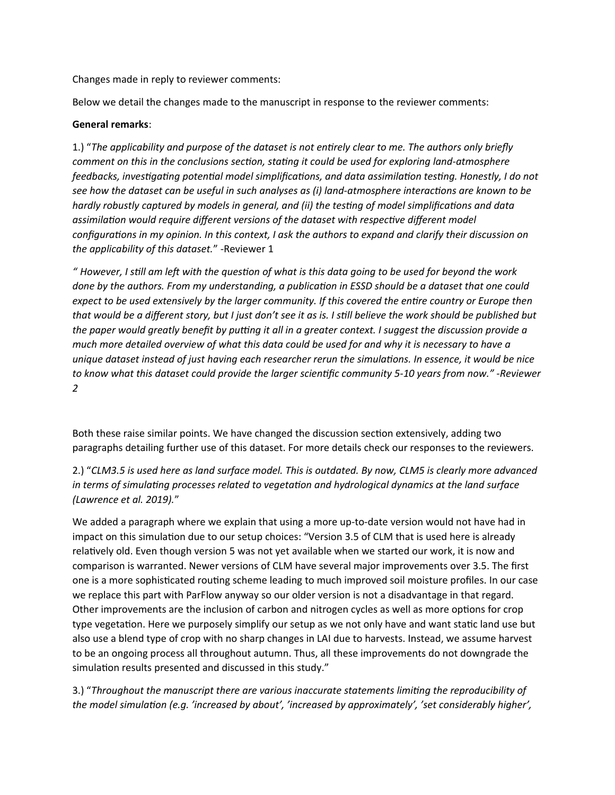Changes made in reply to reviewer comments:

Below we detail the changes made to the manuscript in response to the reviewer comments:

### **General remarks**:

1.) "*The applicability and purpose of the dataset is not entirely clear to me. The authors only briefly comment on this in the conclusions section, stating it could be used for exploring land-atmosphere feedbacks, investigating potential model simplifications, and data assimilation testing. Honestly, I do not see how the dataset can be useful in such analyses as (i) land-atmosphere interactions are known to be hardly robustly captured by models in general, and (ii) the testing of model simplifications and data assimilation would require different versions of the dataset with respective different model configurations in my opinion. In this context, I ask the authors to expand and clarify their discussion on the applicability of this dataset.*" -Reviewer 1

*" However, I still am left with the question of what is this data going to be used for beyond the work done by the authors. From my understanding, a publication in ESSD should be a dataset that one could expect to be used extensively by the larger community. If this covered the entire country or Europe then that would be a different story, but I just don't see it as is. I still believe the work should be published but the paper would greatly benefit by putting it all in a greater context. I suggest the discussion provide a much more detailed overview of what this data could be used for and why it is necessary to have a unique dataset instead of just having each researcher rerun the simulations. In essence, it would be nice to know what this dataset could provide the larger scientific community 5-10 years from now." -Reviewer 2*

Both these raise similar points. We have changed the discussion section extensively, adding two paragraphs detailing further use of this dataset. For more details check our responses to the reviewers.

2.) "*CLM3.5 is used here as land surface model. This is outdated. By now, CLM5 is clearly more advanced in terms of simulating processes related to vegetation and hydrological dynamics at the land surface (Lawrence et al. 2019).*"

We added a paragraph where we explain that using a more up-to-date version would not have had in impact on this simulation due to our setup choices: "Version 3.5 of CLM that is used here is already relatively old. Even though version 5 was not yet available when we started our work, it is now and comparison is warranted. Newer versions of CLM have several major improvements over 3.5. The first one is a more sophisticated routing scheme leading to much improved soil moisture profiles. In our case we replace this part with ParFlow anyway so our older version is not a disadvantage in that regard. Other improvements are the inclusion of carbon and nitrogen cycles as well as more options for crop type vegetation. Here we purposely simplify our setup as we not only have and want static land use but also use a blend type of crop with no sharp changes in LAI due to harvests. Instead, we assume harvest to be an ongoing process all throughout autumn. Thus, all these improvements do not downgrade the simulation results presented and discussed in this study."

3.) "*Throughout the manuscript there are various inaccurate statements limiting the reproducibility of the model simulation (e.g. 'increased by about', 'increased by approximately', 'set considerably higher',*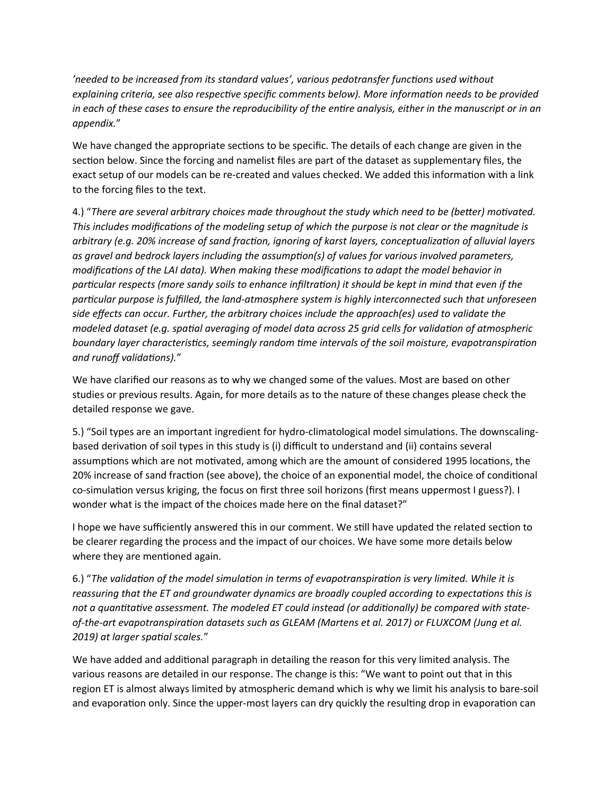*'needed to be increased from its standard values', various pedotransfer functions used without explaining criteria, see also respective specific comments below). More information needs to be provided in each of these cases to ensure the reproducibility of the entire analysis, either in the manuscript or in an appendix.*"

We have changed the appropriate sections to be specific. The details of each change are given in the section below. Since the forcing and namelist files are part of the dataset as supplementary files, the exact setup of our models can be re-created and values checked. We added this information with a link to the forcing files to the text.

4.) "*There are several arbitrary choices made throughout the study which need to be (better) motivated. This includes modifications of the modeling setup of which the purpose is not clear or the magnitude is arbitrary (e.g. 20% increase of sand fraction, ignoring of karst layers, conceptualization of alluvial layers as gravel and bedrock layers including the assumption(s) of values for various involved parameters, modifications of the LAI data). When making these modifications to adapt the model behavior in particular respects (more sandy soils to enhance infiltration) it should be kept in mind that even if the particular purpose is fulfilled, the land-atmosphere system is highly interconnected such that unforeseen side effects can occur. Further, the arbitrary choices include the approach(es) used to validate the modeled dataset (e.g. spatial averaging of model data across 25 grid cells for validation of atmospheric boundary layer characteristics, seemingly random time intervals of the soil moisture, evapotranspiration and runoff validations).*"

We have clarified our reasons as to why we changed some of the values. Most are based on other studies or previous results. Again, for more details as to the nature of these changes please check the detailed response we gave.

5.) "Soil types are an important ingredient for hydro-climatological model simulations. The downscalingbased derivation of soil types in this study is (i) difficult to understand and (ii) contains several assumptions which are not motivated, among which are the amount of considered 1995 locations, the 20% increase of sand fraction (see above), the choice of an exponential model, the choice of conditional co-simulation versus kriging, the focus on first three soil horizons (first means uppermost I guess?). I wonder what is the impact of the choices made here on the final dataset?"

I hope we have sufficiently answered this in our comment. We still have updated the related section to be clearer regarding the process and the impact of our choices. We have some more details below where they are mentioned again.

6.) "*The validation of the model simulation in terms of evapotranspiration is very limited. While it is reassuring that the ET and groundwater dynamics are broadly coupled according to expectations this is not a quantitative assessment. The modeled ET could instead (or additionally) be compared with stateof-the-art evapotranspiration datasets such as GLEAM (Martens et al. 2017) or FLUXCOM (Jung et al. 2019) at larger spatial scales.*"

We have added and additional paragraph in detailing the reason for this very limited analysis. The various reasons are detailed in our response. The change is this: "We want to point out that in this region ET is almost always limited by atmospheric demand which is why we limit his analysis to bare-soil and evaporation only. Since the upper-most layers can dry quickly the resulting drop in evaporation can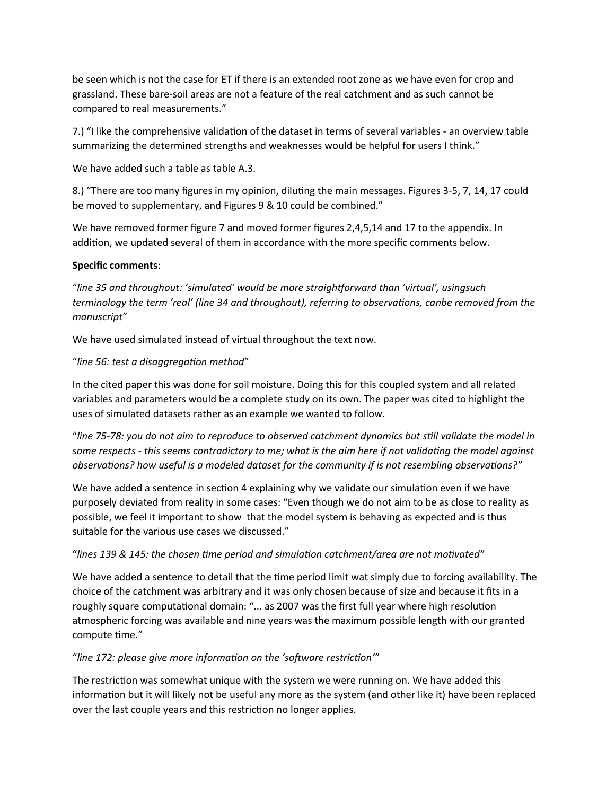be seen which is not the case for ET if there is an extended root zone as we have even for crop and grassland. These bare-soil areas are not a feature of the real catchment and as such cannot be compared to real measurements."

7.) "I like the comprehensive validation of the dataset in terms of several variables - an overview table summarizing the determined strengths and weaknesses would be helpful for users I think."

We have added such a table as table A.3.

8.) "There are too many figures in my opinion, diluting the main messages. Figures 3-5, 7, 14, 17 could be moved to supplementary, and Figures 9 & 10 could be combined."

We have removed former figure 7 and moved former figures 2,4,5,14 and 17 to the appendix. In addition, we updated several of them in accordance with the more specific comments below.

## **Specific comments**:

"*line 35 and throughout: 'simulated' would be more straightforward than 'virtual', usingsuch terminology the term 'real' (line 34 and throughout), referring to observations, canbe removed from the manuscript*"

We have used simulated instead of virtual throughout the text now.

## "*line 56: test a disaggregation method*"

In the cited paper this was done for soil moisture. Doing this for this coupled system and all related variables and parameters would be a complete study on its own. The paper was cited to highlight the uses of simulated datasets rather as an example we wanted to follow.

"*line 75-78: you do not aim to reproduce to observed catchment dynamics but still validate the model in some respects - this seems contradictory to me; what is the aim here if not validating the model against observations? how useful is a modeled dataset for the community if is not resembling observations?*"

We have added a sentence in section 4 explaining why we validate our simulation even if we have purposely deviated from reality in some cases: "Even though we do not aim to be as close to reality as possible, we feel it important to show that the model system is behaving as expected and is thus suitable for the various use cases we discussed."

#### "*lines 139 & 145: the chosen time period and simulation catchment/area are not motivated*"

We have added a sentence to detail that the time period limit wat simply due to forcing availability. The choice of the catchment was arbitrary and it was only chosen because of size and because it fits in a roughly square computational domain: "... as 2007 was the first full year where high resolution atmospheric forcing was available and nine years was the maximum possible length with our granted compute time."

# "*line 172: please give more information on the 'software restriction'*"

The restriction was somewhat unique with the system we were running on. We have added this information but it will likely not be useful any more as the system (and other like it) have been replaced over the last couple years and this restriction no longer applies.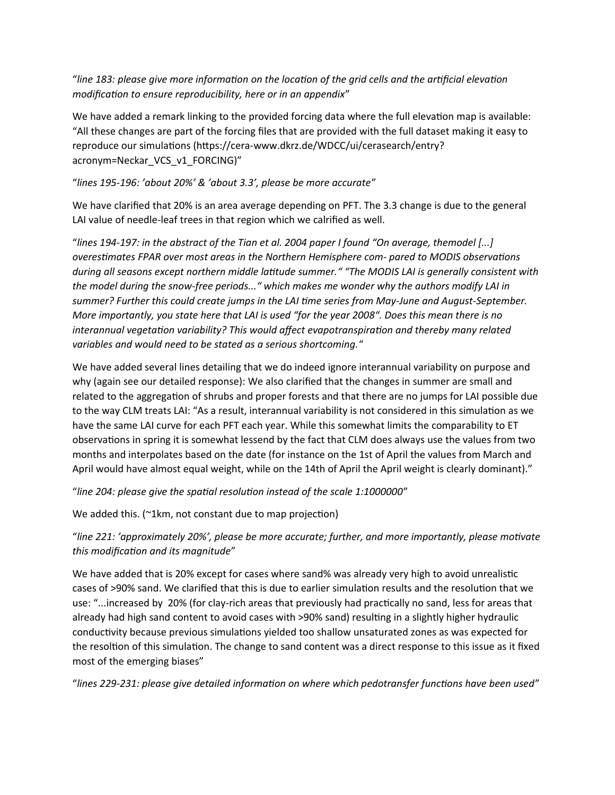"*line 183: please give more information on the location of the grid cells and the artificial elevation modification to ensure reproducibility, here or in an appendix*"

We have added a remark linking to the provided forcing data where the full elevation map is available: "All these changes are part of the forcing files that are provided with the full dataset making it easy to reproduce our simulations (https://cera-www.dkrz.de/WDCC/ui/cerasearch/entry? acronym=Neckar\_VCS\_v1\_FORCING)"

## "*lines 195-196: 'about 20%' & 'about 3.3', please be more accurate*"

We have clarified that 20% is an area average depending on PFT. The 3.3 change is due to the general LAI value of needle-leaf trees in that region which we calrified as well.

"*lines 194-197: in the abstract of the Tian et al. 2004 paper I found "On average, themodel [...] overestimates FPAR over most areas in the Northern Hemisphere com- pared to MODIS observations during all seasons except northern middle latitude summer." "The MODIS LAI is generally consistent with the model during the snow-free periods..." which makes me wonder why the authors modify LAI in summer? Further this could create jumps in the LAI time series from May-June and August-September. More importantly, you state here that LAI is used "for the year 2008". Does this mean there is no interannual vegetation variability? This would affect evapotranspiration and thereby many related variables and would need to be stated as a serious shortcoming.*"

We have added several lines detailing that we do indeed ignore interannual variability on purpose and why (again see our detailed response): We also clarified that the changes in summer are small and related to the aggregation of shrubs and proper forests and that there are no jumps for LAI possible due to the way CLM treats LAI: "As a result, interannual variability is not considered in this simulation as we have the same LAI curve for each PFT each year. While this somewhat limits the comparability to ET observations in spring it is somewhat lessend by the fact that CLM does always use the values from two months and interpolates based on the date (for instance on the 1st of April the values from March and April would have almost equal weight, while on the 14th of April the April weight is clearly dominant)."

"*line 204: please give the spatial resolution instead of the scale 1:1000000*"

We added this. (~1km, not constant due to map projection)

"*line 221: 'approximately 20%', please be more accurate; further, and more importantly, please motivate this modification and its magnitude*"

We have added that is 20% except for cases where sand% was already very high to avoid unrealistic cases of >90% sand. We clarified that this is due to earlier simulation results and the resolution that we use: "...increased by 20% (for clay-rich areas that previously had practically no sand, less for areas that already had high sand content to avoid cases with >90% sand) resulting in a slightly higher hydraulic conductivity because previous simulations yielded too shallow unsaturated zones as was expected for the resoltion of this simulation. The change to sand content was a direct response to this issue as it fixed most of the emerging biases"

"*lines 229-231: please give detailed information on where which pedotransfer functions have been used*"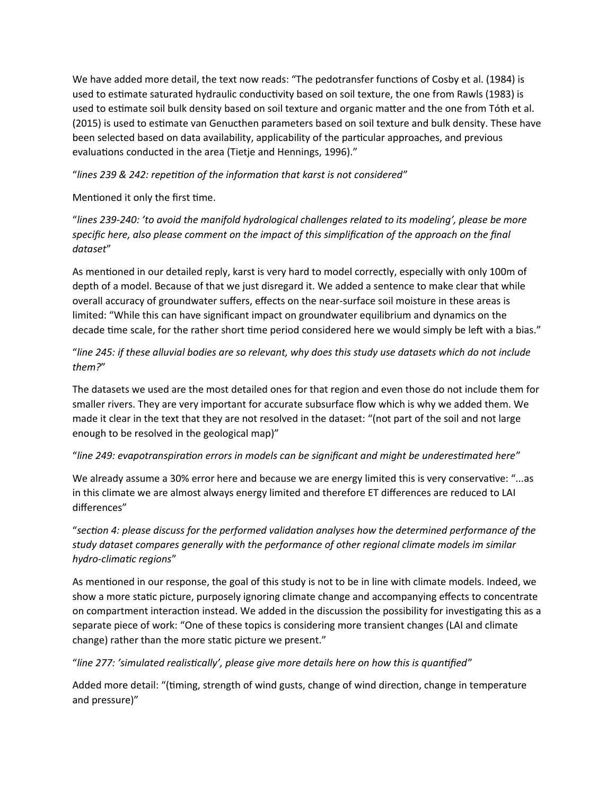We have added more detail, the text now reads: "The pedotransfer functions of Cosby et al. (1984) is used to estimate saturated hydraulic conductivity based on soil texture, the one from Rawls (1983) is used to estimate soil bulk density based on soil texture and organic matter and the one from Tóth et al. (2015) is used to estimate van Genucthen parameters based on soil texture and bulk density. These have been selected based on data availability, applicability of the particular approaches, and previous evaluations conducted in the area (Tietje and Hennings, 1996)."

"*lines 239 & 242: repetition of the information that karst is not considered*"

Mentioned it only the first time.

"*lines 239-240: 'to avoid the manifold hydrological challenges related to its modeling', please be more specific here, also please comment on the impact of this simplification of the approach on the final dataset*"

As mentioned in our detailed reply, karst is very hard to model correctly, especially with only 100m of depth of a model. Because of that we just disregard it. We added a sentence to make clear that while overall accuracy of groundwater suffers, effects on the near-surface soil moisture in these areas is limited: "While this can have significant impact on groundwater equilibrium and dynamics on the decade time scale, for the rather short time period considered here we would simply be left with a bias."

"*line 245: if these alluvial bodies are so relevant, why does this study use datasets which do not include them?*"

The datasets we used are the most detailed ones for that region and even those do not include them for smaller rivers. They are very important for accurate subsurface flow which is why we added them. We made it clear in the text that they are not resolved in the dataset: "(not part of the soil and not large enough to be resolved in the geological map)"

# "*line 249: evapotranspiration errors in models can be significant and might be underestimated here*"

We already assume a 30% error here and because we are energy limited this is very conservative: "...as in this climate we are almost always energy limited and therefore ET differences are reduced to LAI differences"

"*section 4: please discuss for the performed validation analyses how the determined performance of the study dataset compares generally with the performance of other regional climate models im similar hydro-climatic regions*"

As mentioned in our response, the goal of this study is not to be in line with climate models. Indeed, we show a more static picture, purposely ignoring climate change and accompanying effects to concentrate on compartment interaction instead. We added in the discussion the possibility for investigating this as a separate piece of work: "One of these topics is considering more transient changes (LAI and climate change) rather than the more static picture we present."

"*line 277: 'simulated realistically', please give more details here on how this is quantified*"

Added more detail: "(timing, strength of wind gusts, change of wind direction, change in temperature and pressure)"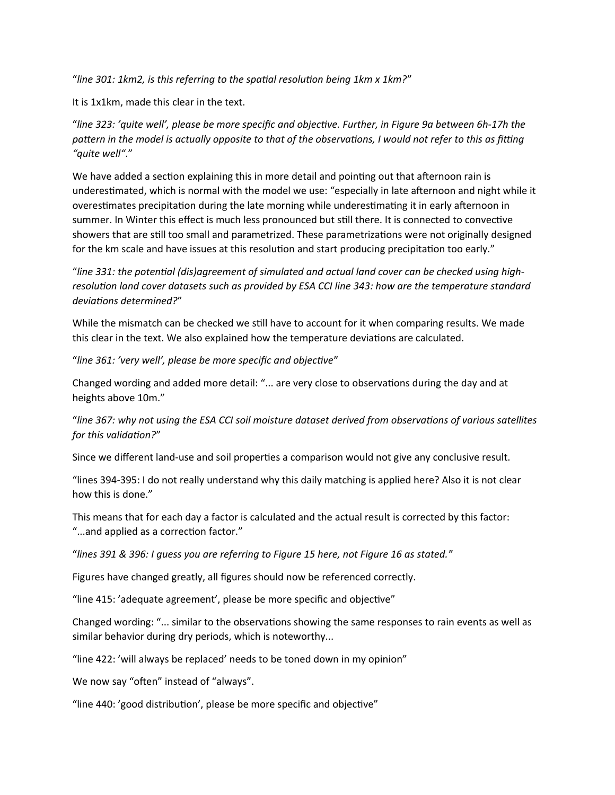"*line 301: 1km2, is this referring to the spatial resolution being 1km x 1km?*"

It is 1x1km, made this clear in the text.

"*line 323: 'quite well', please be more specific and objective. Further, in Figure 9a between 6h-17h the*  pattern in the model is actually opposite to that of the observations, I would not refer to this as fitting *"quite well"*."

We have added a section explaining this in more detail and pointing out that afternoon rain is underestimated, which is normal with the model we use: "especially in late afternoon and night while it overestimates precipitation during the late morning while underestimating it in early afternoon in summer. In Winter this effect is much less pronounced but still there. It is connected to convective showers that are still too small and parametrized. These parametrizations were not originally designed for the km scale and have issues at this resolution and start producing precipitation too early."

"*line 331: the potential (dis)agreement of simulated and actual land cover can be checked using highresolution land cover datasets such as provided by ESA CCI line 343: how are the temperature standard deviations determined?*"

While the mismatch can be checked we still have to account for it when comparing results. We made this clear in the text. We also explained how the temperature deviations are calculated.

"*line 361: 'very well', please be more specific and objective*"

Changed wording and added more detail: "... are very close to observations during the day and at heights above 10m."

"*line 367: why not using the ESA CCI soil moisture dataset derived from observations of various satellites for this validation?*"

Since we different land-use and soil properties a comparison would not give any conclusive result.

"lines 394-395: I do not really understand why this daily matching is applied here? Also it is not clear how this is done."

This means that for each day a factor is calculated and the actual result is corrected by this factor: "...and applied as a correction factor."

"*lines 391 & 396: I guess you are referring to Figure 15 here, not Figure 16 as stated.*"

Figures have changed greatly, all figures should now be referenced correctly.

"line 415: 'adequate agreement', please be more specific and objective"

Changed wording: "... similar to the observations showing the same responses to rain events as well as similar behavior during dry periods, which is noteworthy...

"line 422: 'will always be replaced' needs to be toned down in my opinion"

We now say "often" instead of "always".

"line 440: 'good distribution', please be more specific and objective"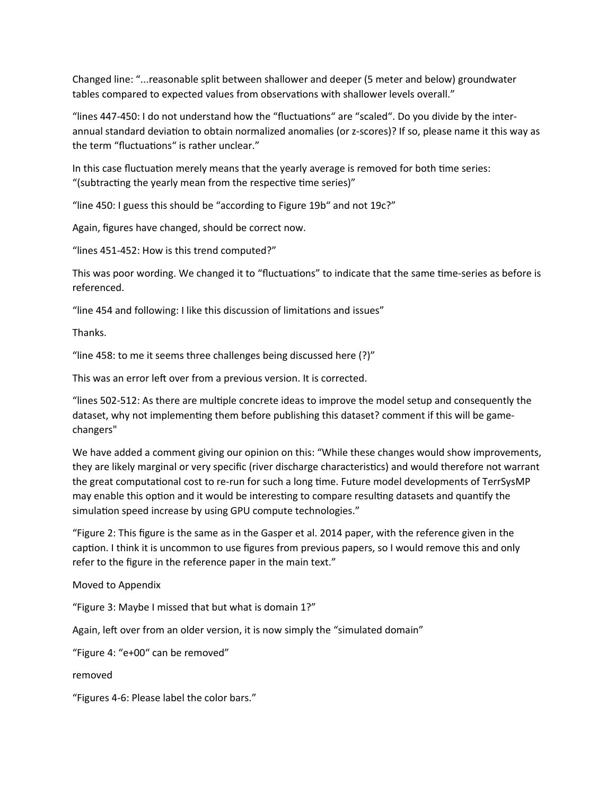Changed line: "...reasonable split between shallower and deeper (5 meter and below) groundwater tables compared to expected values from observations with shallower levels overall."

"lines 447-450: I do not understand how the "fluctuations" are "scaled". Do you divide by the interannual standard deviation to obtain normalized anomalies (or z-scores)? If so, please name it this way as the term "fluctuations" is rather unclear."

In this case fluctuation merely means that the yearly average is removed for both time series: "(subtracting the yearly mean from the respective time series)"

"line 450: I guess this should be "according to Figure 19b" and not 19c?"

Again, figures have changed, should be correct now.

"lines 451-452: How is this trend computed?"

This was poor wording. We changed it to "fluctuations" to indicate that the same time-series as before is referenced.

"line 454 and following: I like this discussion of limitations and issues"

Thanks.

"line 458: to me it seems three challenges being discussed here (?)"

This was an error left over from a previous version. It is corrected.

"lines 502-512: As there are multiple concrete ideas to improve the model setup and consequently the dataset, why not implementing them before publishing this dataset? comment if this will be gamechangers"

We have added a comment giving our opinion on this: "While these changes would show improvements, they are likely marginal or very specific (river discharge characteristics) and would therefore not warrant the great computational cost to re-run for such a long time. Future model developments of TerrSysMP may enable this option and it would be interesting to compare resulting datasets and quantify the simulation speed increase by using GPU compute technologies."

"Figure 2: This figure is the same as in the Gasper et al. 2014 paper, with the reference given in the caption. I think it is uncommon to use figures from previous papers, so I would remove this and only refer to the figure in the reference paper in the main text."

Moved to Appendix

"Figure 3: Maybe I missed that but what is domain 1?"

Again, left over from an older version, it is now simply the "simulated domain"

"Figure 4: "e+00" can be removed"

removed

"Figures 4-6: Please label the color bars."